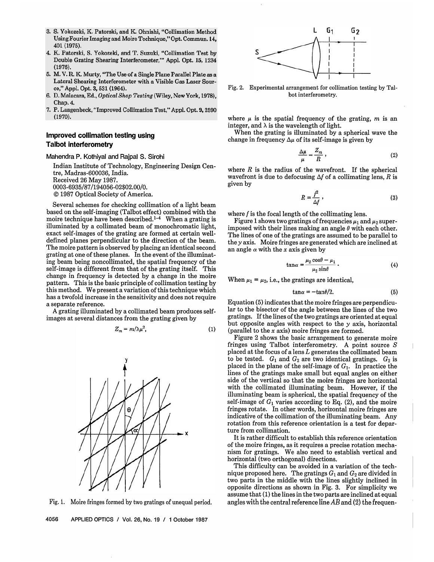- 3. S. Yokozeki, K. Patorski, and K. Ohnishi, "Collimation Method Using Fourier Imaging and Moire Technique," Opt. Commun. 14, 401 (1975).
- 4. K. Patorski, S. Yokozeki, and T. Suzuki, "Collimation Test by Double Grating Shearing Interferometer," Appl. Opt. 15, 1234  $(1976)$
- 5. M. V. R. K. Murty, "The Use of a Single Plane Parallel Plate as a Lateral Shearing Interferometer with a Visible Gas Laser Source," Appl. Opt. 3, 531 (1964).
- 6. D. Malacara, Ed., Optical Shop Testing (Wiley, New York, 1978), Chap. 4.
- 7. P. Langenbeck, "Improved Collimation Test," Appl. Opt. 9, 2590  $(1970).$

## **Improved collimation testing using Talbot interferometry**

Mahendra P. Kothiyal and Rajpal S. Sirohi

Indian Institute of Technology, Engineering Design Centre, Madras-600036, India. Received 26 May 1987. 0003-6935/87/194056-02\$02.00/0. © 1987 Optical Society of America.

Several schemes for checking collimation of a light beam based on the self-imaging (Talbot effect) combined with the moire technique have been described.<sup>1-4</sup> When a grating is illuminated by a collimated beam of monochromatic light, exact self-images of the grating are formed at certain welldefined planes perpendicular to the direction of the beam. The moire pattern is observed by placing an identical second grating at one of these planes. In the event of the illuminating beam being noncollimated, the spatial frequency of the self-image is different from that of the grating itself. This change in frequency is detected by a change in the moire pattern. This is the basic principle of collimation testing by this method. We present a variation of this technique which has a twofold increase in the sensitivity and does not require a separate reference.

A grating illuminated by a collimated beam produces selfimages at several distances from the grating given by

$$
Z_m = m/\lambda \mu^2, \tag{1}
$$



Pig. 1. Moire fringes formed by two gratings of unequal period.



Fig. 2. Experimental arrangement for collimation testing by Talbot interferometry.

where *μ* is the spatial frequency of the grating, *m* is an integer, and  $\lambda$  is the wavelength of light.

When the grating is illuminated by a spherical wave the change in frequency  $\Delta \mu$  of its self-image is given by

$$
\frac{\Delta \mu}{\mu} = \frac{Z_m}{R} \,,\tag{2}
$$

where  $R$  is the radius of the wavefront. If the spherical wavefront is due to defocusing *Δƒ* of a collimating lens, *R* is given by

$$
R = \frac{f^2}{\Delta f} \,,\tag{3}
$$

where f is the focal length of the collimating lens.

Figure 1 shows two gratings of frequencies *μ1* and *μ2* superimposed with their lines making an angle *θ* with each other. The lines of one of the gratings are assumed to be parallel to the *y* axis. Moire fringes are generated which are inclined at an angle *α* with the *x* axis given by

$$
\tan \alpha = \frac{\mu_2 \cos \theta - \mu_1}{\mu_2 \sin \theta} \,. \tag{4}
$$

When  $\mu_1 = \mu_2$ , i.e., the gratings are identical,

$$
an\alpha = -\tan\theta/2. \tag{5}
$$

Equation (5) indicates that the moire fringes are perpendicular to the bisector of the angle between the lines of the two gratings. If the lines of the two gratings are oriented at equal but opposite angles with respect to the *y* axis, horizontal (parallel to the *x* axis) moire fringes are formed.

Figure 2 shows the basic arrangement to generate moire fringes using Talbot interferometry. A point source *S*  placed at the focus of a lens *L* generates the collimated beam to be tested.  $G_1$  and  $G_2$  are two identical gratings.  $G_2$  is placed in the plane of the self-image of *G\.* In practice the lines of the gratings make small but equal angles on either side of the vertical so that the moire fringes are horizontal with the collimated illuminating beam. However, if the illuminating beam is spherical, the spatial frequency of the self-image of  $G_1$  varies according to Eq. (2), and the moire fringes rotate. In other words, horizontal moire fringes are indicative of the collimation of the illuminating beam. Any rotation from this reference orientation is a test for departure from collimation.

It is rather difficult to establish this reference orientation of the moire fringes, as it requires a precise rotation mechanism for gratings. We also need to establish vertical and horizontal (two orthogonal) directions.

This difficulty can be avoided in a variation of the technique proposed here. The gratings  $G_1$  and  $G_2$  are divided in two parts in the middle with the lines slightly inclined in opposite directions as shown in Fig. 3. For simplicity we assume that (1) the lines in the two parts are inclined at equal angles with the central reference line *AB* and (2) the frequen-